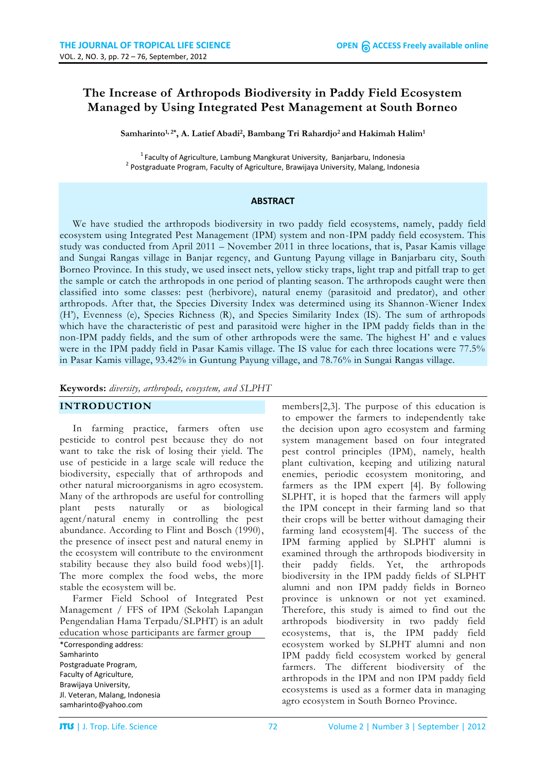# **The Increase of Arthropods Biodiversity in Paddy Field Ecosystem Managed by Using Integrated Pest Management at South Borneo**

**Samharinto1, 2\* , A. Latief Abadi<sup>2</sup> , Bambang Tri Rahardjo<sup>2</sup> and Hakimah Halim<sup>1</sup>**

<sup>1</sup> Faculty of Agriculture, Lambung Mangkurat University, Banjarbaru, Indonesia <sup>2</sup> Postgraduate Program, Faculty of Agriculture, Brawijaya University, Malang, Indonesia

#### **ABSTRACT**

We have studied the arthropods biodiversity in two paddy field ecosystems, namely, paddy field ecosystem using Integrated Pest Management (IPM) system and non-IPM paddy field ecosystem. This study was conducted from April 2011 – November 2011 in three locations, that is, Pasar Kamis village and Sungai Rangas village in Banjar regency, and Guntung Payung village in Banjarbaru city, South Borneo Province. In this study, we used insect nets, yellow sticky traps, light trap and pitfall trap to get the sample or catch the arthropods in one period of planting season. The arthropods caught were then classified into some classes: pest (herbivore), natural enemy (parasitoid and predator), and other arthropods. After that, the Species Diversity Index was determined using its Shannon-Wiener Index (H'), Evenness (e), Species Richness (R), and Species Similarity Index (IS). The sum of arthropods which have the characteristic of pest and parasitoid were higher in the IPM paddy fields than in the non-IPM paddy fields, and the sum of other arthropods were the same. The highest H' and e values were in the IPM paddy field in Pasar Kamis village. The IS value for each three locations were 77.5% in Pasar Kamis village, 93.42% in Guntung Payung village, and 78.76% in Sungai Rangas village.

#### **Keywords:** *diversity, arthropods, ecosystem, and SLPHT*

#### **INTRODUCTION**

In farming practice, farmers often use pesticide to control pest because they do not want to take the risk of losing their yield. The use of pesticide in a large scale will reduce the biodiversity, especially that of arthropods and other natural microorganisms in agro ecosystem. Many of the arthropods are useful for controlling plant pests naturally or as biological agent/natural enemy in controlling the pest abundance. According to Flint and Bosch (1990), the presence of insect pest and natural enemy in the ecosystem will contribute to the environment stability because they also build food webs)[1]. The more complex the food webs, the more stable the ecosystem will be.

Farmer Field School of Integrated Pest Management / FFS of IPM (Sekolah Lapangan Pengendalian Hama Terpadu/SLPHT) is an adult education whose participants are farmer group

\*Corresponding address: Samharinto Postgraduate Program, Faculty of Agriculture, Brawijaya University, Jl. Veteran, Malang, Indonesia [samharinto@yahoo.com](mailto:samharinto@yahoo.com)

members[2,3]. The purpose of this education is to empower the farmers to independently take the decision upon agro ecosystem and farming system management based on four integrated pest control principles (IPM), namely, health plant cultivation, keeping and utilizing natural enemies, periodic ecosystem monitoring, and farmers as the IPM expert [4]. By following SLPHT, it is hoped that the farmers will apply the IPM concept in their farming land so that their crops will be better without damaging their farming land ecosystem[4]. The success of the IPM farming applied by SLPHT alumni is examined through the arthropods biodiversity in their paddy fields. Yet, the arthropods biodiversity in the IPM paddy fields of SLPHT alumni and non IPM paddy fields in Borneo province is unknown or not yet examined. Therefore, this study is aimed to find out the arthropods biodiversity in two paddy field ecosystems, that is, the IPM paddy field ecosystem worked by SLPHT alumni and non IPM paddy field ecosystem worked by general farmers. The different biodiversity of the arthropods in the IPM and non IPM paddy field ecosystems is used as a former data in managing agro ecosystem in South Borneo Province.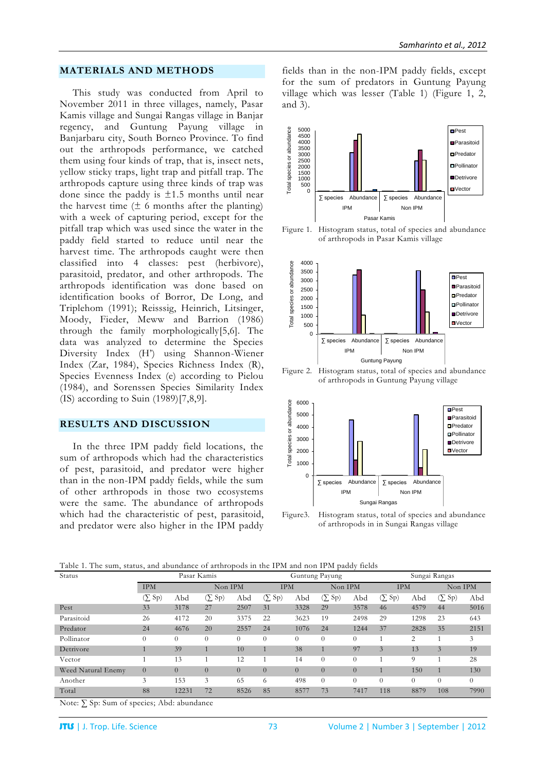#### **MATERIALS AND METHODS**

This study was conducted from April to November 2011 in three villages, namely, Pasar Kamis village and Sungai Rangas village in Banjar regency, and Guntung Payung village in Banjarbaru city, South Borneo Province. To find out the arthropods performance, we catched them using four kinds of trap, that is, insect nets, yellow sticky traps, light trap and pitfall trap. The arthropods capture using three kinds of trap was done since the paddy is  $\pm 1.5$  months until near the harvest time  $(\pm 6$  months after the planting) with a week of capturing period, except for the pitfall trap which was used since the water in the paddy field started to reduce until near the harvest time. The arthropods caught were then classified into 4 classes: pest (herbivore), parasitoid, predator, and other arthropods. The arthropods identification was done based on identification books of Borror, De Long, and Triplehom (1991); Reisssig, Heinrich, Litsinger, Moody, Fieder, Meww and Barrion (1986) through the family morphologically[5,6]. The data was analyzed to determine the Species Diversity Index (H') using Shannon-Wiener Index (Zar, 1984), Species Richness Index (R), Species Evenness Index (e) according to Pielou (1984), and Sorenssen Species Similarity Index (IS) according to Suin (1989)[7,8,9].

#### **RESULTS AND DISCUSSION**

In the three IPM paddy field locations, the sum of arthropods which had the characteristics of pest, parasitoid, and predator were higher than in the non-IPM paddy fields, while the sum of other arthropods in those two ecosystems were the same. The abundance of arthropods which had the characteristic of pest, parasitoid, and predator were also higher in the IPM paddy fields than in the non-IPM paddy fields, except for the sum of predators in Guntung Payung village which was lesser (Table 1) (Figure 1, 2, and 3).



Figure 1. Histogram status, total of species and abundance of arthropods in Pasar Kamis village



Figure 2. Histogram status, total of species and abundance of arthropods in Guntung Payung village



Figure3. Histogram status, total of species and abundance of arthropods in in Sungai Rangas village

| Table 1. The sum, status, and abundance of arthropods in the IPM and non IPM paddy fields |  |
|-------------------------------------------------------------------------------------------|--|
|-------------------------------------------------------------------------------------------|--|

| <b>Status</b>      | Pasar Kamis    |          |                                       |          | Guntung Payung                                        |          |             |          | Sungai Rangas |          |                |          |
|--------------------|----------------|----------|---------------------------------------|----------|-------------------------------------------------------|----------|-------------|----------|---------------|----------|----------------|----------|
|                    | <b>IPM</b>     |          | Non IPM                               |          | <b>IPM</b>                                            |          | Non IPM     |          | <b>IPM</b>    |          | Non IPM        |          |
|                    | $(\Sigma$ Sp)  | Abd      | S <sub>p</sub><br>$\circlearrowright$ | Abd      | S <sub>p</sub><br>$\left( \sum_{i=1}^{n} a_i \right)$ | Abd      | $(\sum Sp)$ | Abd      | $(\Sigma$ Sp) | Abd      | $(\Sigma$ Sp)  | Abd      |
| Pest               | 33             | 3178     | 27                                    | 2507     | 31                                                    | 3328     | 29          | 3578     | 46            | 4579     | 44             | 5016     |
| Parasitoid         | 26             | 4172     | 20                                    | 3375     | 22                                                    | 3623     | 19          | 2498     | 29            | 1298     | 23             | 643      |
| Predator           | 24             | 4676     | 20                                    | 2557     | 24                                                    | 1076     | 24          | 1244     | 37            | 2828     | 35             | 2151     |
| Pollinator         | $\Omega$       | $\Omega$ | $\theta$                              | $\theta$ | $\theta$                                              | $\theta$ | $\theta$    | $\theta$ |               | 2        |                | 3        |
| Detrivore          |                | 39       |                                       | 10       |                                                       | 38       |             | 97       | 3             | 13       | $\mathfrak{Z}$ | 19       |
| Vector             |                | 13       |                                       | 12       |                                                       | 14       | $\Omega$    | $\Omega$ |               | 9        |                | 28       |
| Weed Natural Enemy | $\overline{0}$ | $\Omega$ | $\overline{0}$                        | $\theta$ | $\Omega$                                              | $\theta$ | $\Omega$    | $\Omega$ |               | 150      |                | 130      |
| Another            | 3              | 153      | 3                                     | 65       | 6                                                     | 498      | $\theta$    | $\Omega$ | $\Omega$      | $\Omega$ | $\theta$       | $\theta$ |
| Total              | 88             | 12231    | 72                                    | 8526     | 85                                                    | 8577     | 73          | 7417     | 118           | 8879     | 108            | 7990     |

Note: ∑ Sp: Sum of species; Abd: abundance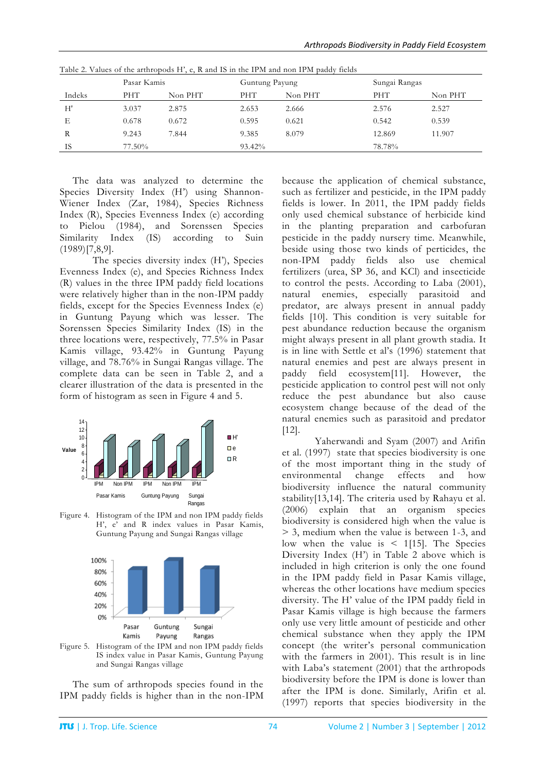|        | Pasar Kamis |         | Guntung Payung |         | Sungai Rangas |         |
|--------|-------------|---------|----------------|---------|---------------|---------|
| Indeks | PHT         | Non PHT | <b>PHT</b>     | Non PHT | <b>PHT</b>    | Non PHT |
| H'     | 3.037       | 2.875   | 2.653          | 2.666   | 2.576         | 2.527   |
| Е      | 0.678       | 0.672   | 0.595          | 0.621   | 0.542         | 0.539   |
| R      | 9.243       | 7.844   | 9.385          | 8.079   | 12.869        | 11.907  |
| IS     | 77.50%      |         | 93.42%         |         | 78.78%        |         |

Table 2. Values of the arthropods H', e, R and IS in the IPM and non IPM paddy fields

The data was analyzed to determine the Species Diversity Index (H') using Shannon-Wiener Index (Zar, 1984), Species Richness Index (R), Species Evenness Index (e) according to Pielou (1984), and Sorenssen Species Similarity Index (IS) according to Suin (1989)[7,8,9].

The species diversity index (H'), Species Evenness Index (e), and Species Richness Index (R) values in the three IPM paddy field locations were relatively higher than in the non-IPM paddy fields, except for the Species Evenness Index (e) in Guntung Payung which was lesser. The Sorenssen Species Similarity Index (IS) in the three locations were, respectively, 77.5% in Pasar Kamis village, 93.42% in Guntung Payung village, and 78.76% in Sungai Rangas village. The complete data can be seen in Table 2, and a clearer illustration of the data is presented in the form of histogram as seen in Figure 4 and 5.



Figure 4. Histogram of the IPM and non IPM paddy fields H', e' and R index values in Pasar Kamis, Guntung Payung and Sungai Rangas village



Figure 5. Histogram of the IPM and non IPM paddy fields IS index value in Pasar Kamis, Guntung Payung and Sungai Rangas village

The sum of arthropods species found in the IPM paddy fields is higher than in the non-IPM because the application of chemical substance, such as fertilizer and pesticide, in the IPM paddy fields is lower. In 2011, the IPM paddy fields only used chemical substance of herbicide kind in the planting preparation and carbofuran pesticide in the paddy nursery time. Meanwhile, beside using those two kinds of perticides, the non-IPM paddy fields also use chemical fertilizers (urea, SP 36, and KCl) and insecticide to control the pests. According to Laba (2001), natural enemies, especially parasitoid and predator, are always present in annual paddy fields [10]. This condition is very suitable for pest abundance reduction because the organism might always present in all plant growth stadia. It is in line with Settle et al's (1996) statement that natural enemies and pest are always present in paddy field ecosystem[11]. However, the pesticide application to control pest will not only reduce the pest abundance but also cause ecosystem change because of the dead of the natural enemies such as parasitoid and predator [12].

Yaherwandi and Syam (2007) and Arifin et al*.* (1997) state that species biodiversity is one of the most important thing in the study of environmental change effects and how biodiversity influence the natural community stability[13,14]. The criteria used by Rahayu et al. (2006) explain that an organism species biodiversity is considered high when the value is > 3, medium when the value is between 1-3, and low when the value is  $\leq$  1[15]. The Species Diversity Index (H') in Table 2 above which is included in high criterion is only the one found in the IPM paddy field in Pasar Kamis village, whereas the other locations have medium species diversity. The H' value of the IPM paddy field in Pasar Kamis village is high because the farmers only use very little amount of pesticide and other chemical substance when they apply the IPM concept (the writer's personal communication with the farmers in 2001). This result is in line with Laba's statement (2001) that the arthropods biodiversity before the IPM is done is lower than after the IPM is done. Similarly, Arifin et al*.* (1997) reports that species biodiversity in the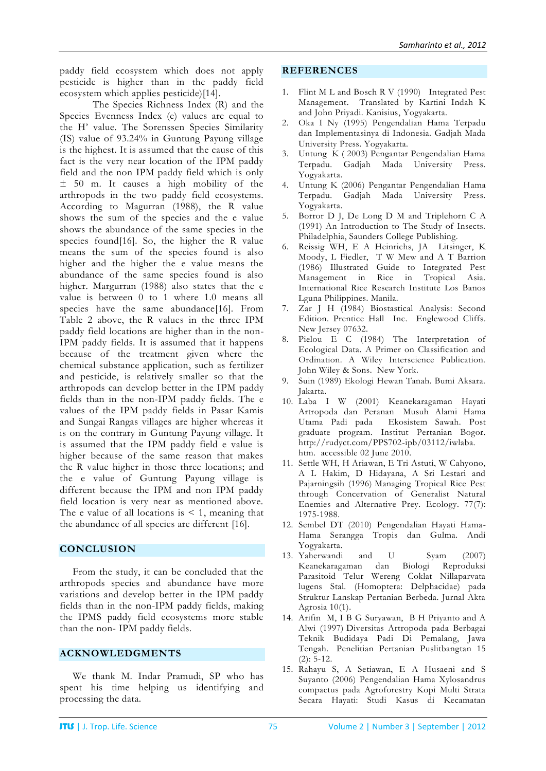paddy field ecosystem which does not apply pesticide is higher than in the paddy field ecosystem which applies pesticide)[14].

The Species Richness Index (R) and the Species Evenness Index (e) values are equal to the H' value. The Sorenssen Species Similarity (IS) value of 93.24% in Guntung Payung village is the highest. It is assumed that the cause of this fact is the very near location of the IPM paddy field and the non IPM paddy field which is only ± 50 m. It causes a high mobility of the arthropods in the two paddy field ecosystems. According to Magurran (1988), the R value shows the sum of the species and the e value shows the abundance of the same species in the species found[16]. So, the higher the R value means the sum of the species found is also higher and the higher the e value means the abundance of the same species found is also higher. Margurran (1988) also states that the e value is between 0 to 1 where 1.0 means all species have the same abundance[16]. From Table 2 above, the R values in the three IPM paddy field locations are higher than in the non-IPM paddy fields. It is assumed that it happens because of the treatment given where the chemical substance application, such as fertilizer and pesticide, is relatively smaller so that the arthropods can develop better in the IPM paddy fields than in the non-IPM paddy fields. The e values of the IPM paddy fields in Pasar Kamis and Sungai Rangas villages are higher whereas it is on the contrary in Guntung Payung village. It is assumed that the IPM paddy field e value is higher because of the same reason that makes the R value higher in those three locations; and the e value of Guntung Payung village is different because the IPM and non IPM paddy field location is very near as mentioned above. The e value of all locations is  $\leq 1$ , meaning that the abundance of all species are different [16].

## **CONCLUSION**

From the study, it can be concluded that the arthropods species and abundance have more variations and develop better in the IPM paddy fields than in the non-IPM paddy fields, making the IPMS paddy field ecosystems more stable than the non- IPM paddy fields.

## **ACKNOWLEDGMENTS**

We thank M. Indar Pramudi, SP who has spent his time helping us identifying and processing the data.

### **REFERENCES**

- Flint M L and Bosch R V (1990) Integrated Pest Management. Translated by Kartini Indah K and John Priyadi. Kanisius, Yogyakarta.
- 2. Oka I Ny (1995) Pengendalian Hama Terpadu dan Implementasinya di Indonesia. Gadjah Mada University Press. Yogyakarta.
- 3. Untung K ( 2003) Pengantar Pengendalian Hama Terpadu. Gadjah Mada University Press. Yogyakarta.
- 4. Untung K (2006) Pengantar Pengendalian Hama Terpadu. Gadjah Mada University Press. Yogyakarta.
- 5. Borror D J, De Long D M and Triplehorn C A (1991) An Introduction to The Study of Insects. Philadelphia, Saunders College Publishing.
- 6. Reissig WH, E A Heinrichs, JA Litsinger, K Moody, L Fiedler, T W Mew and A T Barrion (1986) Illustrated Guide to Integrated Pest Management in Rice in Tropical Asia. International Rice Research Institute Los Banos Lguna Philippines. Manila.
- 7. Zar J H (1984) Biostastical Analysis: Second Edition. Prentice Hall Inc. Englewood Cliffs. New Jersey 07632.
- 8. Pielou E C (1984) The Interpretation of Ecological Data. A Primer on Classification and Ordination. A Wiley Interscience Publication. John Wiley & Sons. New York.
- 9. Suin (1989) Ekologi Hewan Tanah. Bumi Aksara. Jakarta.
- 10. Laba I W (2001) Keanekaragaman Hayati Artropoda dan Peranan Musuh Alami Hama Utama Padi pada Ekosistem Sawah. Post graduate program. Institut Pertanian Bogor. [http://rudyct.com/PPS702-ipb/03112/iwlaba.](http://rudyct.com/PPS702-ipb/03112/iwlaba.%20htm) [htm.](http://rudyct.com/PPS702-ipb/03112/iwlaba.%20htm) accessible 02 June 2010.
- 11. Settle WH, H Ariawan, E Tri Astuti, W Cahyono, A L Hakim, D Hidayana, A Sri Lestari and Pajarningsih (1996) Managing Tropical Rice Pest through Concervation of Generalist Natural Enemies and Alternative Prey. Ecology. 77(7): 1975-1988.
- 12. Sembel DT (2010) Pengendalian Hayati Hama-Hama Serangga Tropis dan Gulma. Andi Yogyakarta.
- 13. Yaherwandi and U Syam (2007) Keanekaragaman dan Biologi Reproduksi Parasitoid Telur Wereng Coklat Nillaparvata lugens Stal. (Homoptera: Delphacidae) pada Struktur Lanskap Pertanian Berbeda. Jurnal Akta Agrosia 10(1).
- 14. Arifin M, I B G Suryawan, B H Priyanto and A Alwi (1997) Diversitas Artropoda pada Berbagai Teknik Budidaya Padi Di Pemalang, Jawa Tengah. Penelitian Pertanian Puslitbangtan 15 (2): 5-12.
- 15. Rahayu S, A Setiawan, E A Husaeni and S Suyanto (2006) Pengendalian Hama Xylosandrus compactus pada Agroforestry Kopi Multi Strata Secara Hayati: Studi Kasus di Kecamatan